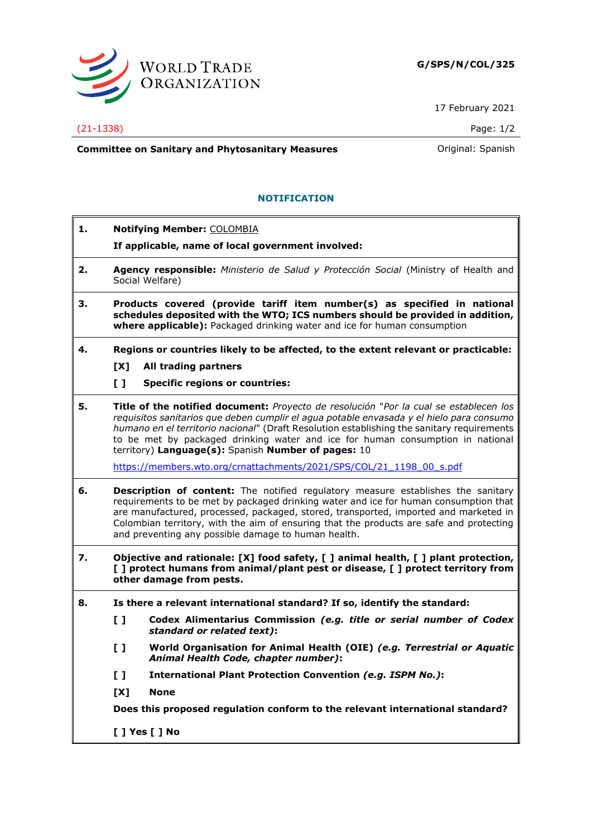

17 February 2021

## (21-1338) Page: 1/2

**Committee on Sanitary and Phytosanitary Measures Committee on Sanish** 

## **NOTIFICATION**

- **1. Notifying Member:** COLOMBIA
	- **If applicable, name of local government involved:**
- **2. Agency responsible:** *Ministerio de Salud y Protección Social* (Ministry of Health and Social Welfare)
- **3. Products covered (provide tariff item number(s) as specified in national schedules deposited with the WTO; ICS numbers should be provided in addition, where applicable):** Packaged drinking water and ice for human consumption
- **4. Regions or countries likely to be affected, to the extent relevant or practicable:**
	- **[X] All trading partners**
	- **[ ] Specific regions or countries:**
- **5. Title of the notified document:** *Proyecto de resolución* "*Por la cual se establecen los requisitos sanitarios que deben cumplir el agua potable envasada y el hielo para consumo humano en el territorio nacional*" (Draft Resolution establishing the sanitary requirements to be met by packaged drinking water and ice for human consumption in national territory) **Language(s):** Spanish **Number of pages:** 10

[https://members.wto.org/crnattachments/2021/SPS/COL/21\\_1198\\_00\\_s.pdf](https://members.wto.org/crnattachments/2021/SPS/COL/21_1198_00_s.pdf)

- **6. Description of content:** The notified regulatory measure establishes the sanitary requirements to be met by packaged drinking water and ice for human consumption that are manufactured, processed, packaged, stored, transported, imported and marketed in Colombian territory, with the aim of ensuring that the products are safe and protecting and preventing any possible damage to human health.
- **7. Objective and rationale: [X] food safety, [ ] animal health, [ ] plant protection, [ ] protect humans from animal/plant pest or disease, [ ] protect territory from other damage from pests.**
- **8. Is there a relevant international standard? If so, identify the standard:**
	- **[ ] Codex Alimentarius Commission** *(e.g. title or serial number of Codex standard or related text)***:**
	- **[ ] World Organisation for Animal Health (OIE)** *(e.g. Terrestrial or Aquatic Animal Health Code, chapter number)***:**
	- **[ ] International Plant Protection Convention** *(e.g. ISPM No.)***:**
	- **[X] None**

**Does this proposed regulation conform to the relevant international standard?**

**[ ] Yes [ ] No**